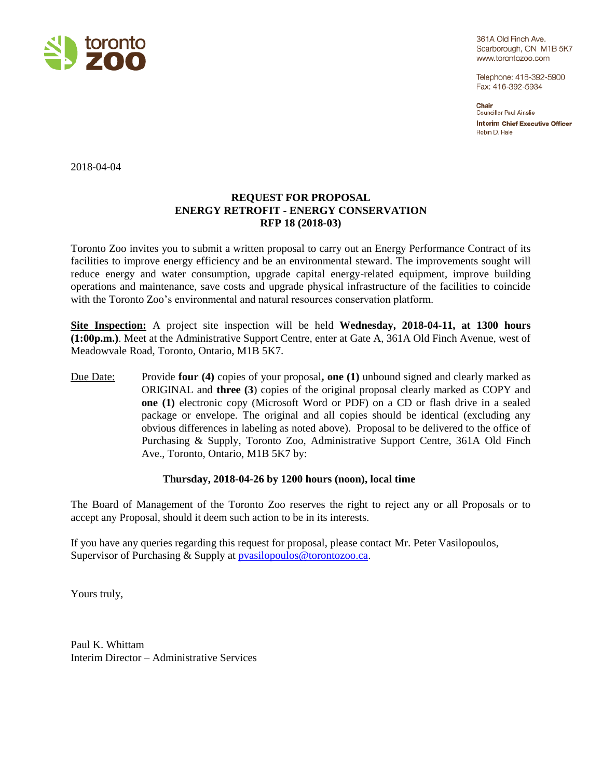

361A Old Finch Ave. Scarborough, ON M1B 5K7 www.torontozoo.com

Telephone: 416-392-5900 Fax: 416-392-5934

Chair Councillor Paul Ainslie **Interim Chief Executive Officer** Robin D. Hale

2018-04-04

## **REQUEST FOR PROPOSAL ENERGY RETROFIT - ENERGY CONSERVATION RFP 18 (2018-03)**

Toronto Zoo invites you to submit a written proposal to carry out an Energy Performance Contract of its facilities to improve energy efficiency and be an environmental steward. The improvements sought will reduce energy and water consumption, upgrade capital energy-related equipment, improve building operations and maintenance, save costs and upgrade physical infrastructure of the facilities to coincide with the Toronto Zoo's environmental and natural resources conservation platform.

**Site Inspection:** A project site inspection will be held **Wednesday, 2018-04-11, at 1300 hours (1:00p.m.)**. Meet at the Administrative Support Centre, enter at Gate A, 361A Old Finch Avenue, west of Meadowvale Road, Toronto, Ontario, M1B 5K7.

Due Date: Provide **four (4)** copies of your proposal**, one (1)** unbound signed and clearly marked as ORIGINAL and **three (3**) copies of the original proposal clearly marked as COPY and **one (1)** electronic copy (Microsoft Word or PDF) on a CD or flash drive in a sealed package or envelope. The original and all copies should be identical (excluding any obvious differences in labeling as noted above). Proposal to be delivered to the office of Purchasing & Supply, Toronto Zoo, Administrative Support Centre, 361A Old Finch Ave., Toronto, Ontario, M1B 5K7 by:

## **Thursday, 2018-04-26 by 1200 hours (noon), local time**

The Board of Management of the Toronto Zoo reserves the right to reject any or all Proposals or to accept any Proposal, should it deem such action to be in its interests.

If you have any queries regarding this request for proposal, please contact Mr. Peter Vasilopoulos, Supervisor of Purchasing & Supply at [pvasilopoulos@torontozoo.ca.](mailto:pvasilopoulos@torontozoo.ca)

Yours truly,

Paul K. Whittam Interim Director – Administrative Services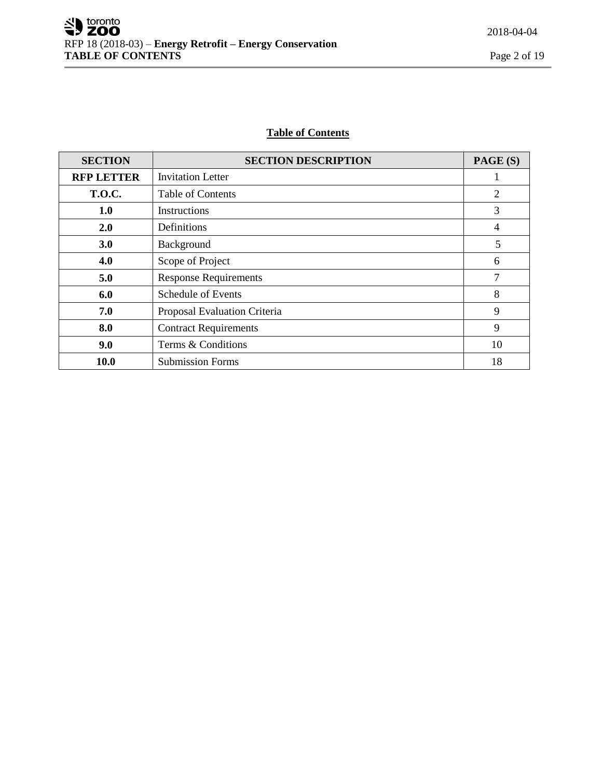# **Table of Contents**

| <b>SECTION</b>    | <b>SECTION DESCRIPTION</b>   | PAGE (S)       |
|-------------------|------------------------------|----------------|
| <b>RFP LETTER</b> | <b>Invitation Letter</b>     |                |
| <b>T.O.C.</b>     | <b>Table of Contents</b>     | $\overline{2}$ |
| 1.0               | Instructions                 | 3              |
| 2.0               | Definitions                  | 4              |
| 3.0               | Background                   | 5              |
| 4.0               | Scope of Project             | 6              |
| 5.0               | <b>Response Requirements</b> | 7              |
| 6.0               | <b>Schedule of Events</b>    | 8              |
| 7.0               | Proposal Evaluation Criteria | 9              |
| 8.0               | <b>Contract Requirements</b> | 9              |
| 9.0               | Terms & Conditions           | 10             |
| 10.0              | <b>Submission Forms</b>      | 18             |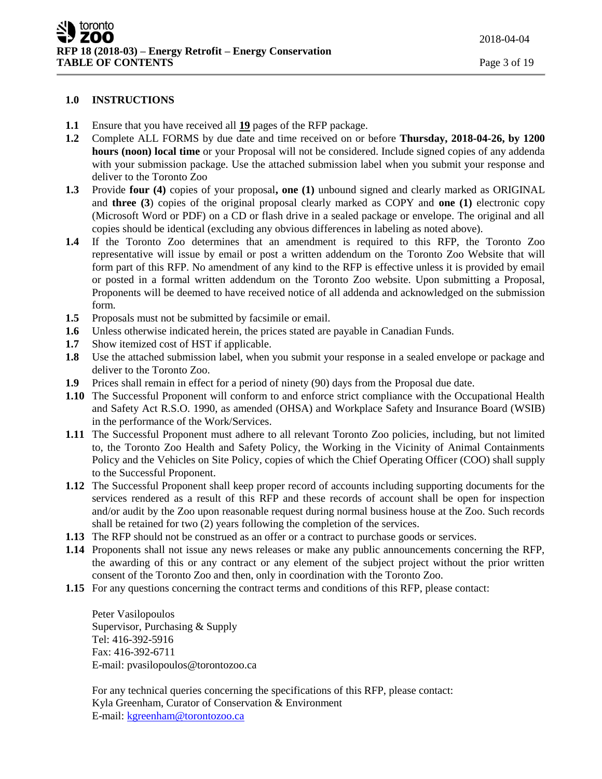#### **1.0 INSTRUCTIONS**

- **1.1** Ensure that you have received all **19** pages of the RFP package.
- **1.2** Complete ALL FORMS by due date and time received on or before **Thursday, 2018-04-26, by 1200 hours (noon) local time** or your Proposal will not be considered. Include signed copies of any addenda with your submission package. Use the attached submission label when you submit your response and deliver to the Toronto Zoo
- **1.3** Provide **four (4)** copies of your proposal**, one (1)** unbound signed and clearly marked as ORIGINAL and **three (3**) copies of the original proposal clearly marked as COPY and **one (1)** electronic copy (Microsoft Word or PDF) on a CD or flash drive in a sealed package or envelope. The original and all copies should be identical (excluding any obvious differences in labeling as noted above).
- **1.4** If the Toronto Zoo determines that an amendment is required to this RFP, the Toronto Zoo representative will issue by email or post a written addendum on the Toronto Zoo Website that will form part of this RFP. No amendment of any kind to the RFP is effective unless it is provided by email or posted in a formal written addendum on the Toronto Zoo website. Upon submitting a Proposal, Proponents will be deemed to have received notice of all addenda and acknowledged on the submission form.
- **1.5** Proposals must not be submitted by facsimile or email.
- **1.6** Unless otherwise indicated herein, the prices stated are payable in Canadian Funds.
- **1.7** Show itemized cost of HST if applicable.
- **1.8** Use the attached submission label, when you submit your response in a sealed envelope or package and deliver to the Toronto Zoo.
- **1.9** Prices shall remain in effect for a period of ninety (90) days from the Proposal due date.
- **1.10** The Successful Proponent will conform to and enforce strict compliance with the Occupational Health and Safety Act R.S.O. 1990, as amended (OHSA) and Workplace Safety and Insurance Board (WSIB) in the performance of the Work/Services.
- **1.11** The Successful Proponent must adhere to all relevant Toronto Zoo policies, including, but not limited to, the Toronto Zoo Health and Safety Policy, the Working in the Vicinity of Animal Containments Policy and the Vehicles on Site Policy, copies of which the Chief Operating Officer (COO) shall supply to the Successful Proponent.
- **1.12** The Successful Proponent shall keep proper record of accounts including supporting documents for the services rendered as a result of this RFP and these records of account shall be open for inspection and/or audit by the Zoo upon reasonable request during normal business house at the Zoo. Such records shall be retained for two (2) years following the completion of the services.
- **1.13** The RFP should not be construed as an offer or a contract to purchase goods or services.
- **1.14** Proponents shall not issue any news releases or make any public announcements concerning the RFP, the awarding of this or any contract or any element of the subject project without the prior written consent of the Toronto Zoo and then, only in coordination with the Toronto Zoo.
- **1.15** For any questions concerning the contract terms and conditions of this RFP, please contact:

Peter Vasilopoulos Supervisor, Purchasing & Supply Tel: 416-392-5916 Fax: 416-392-6711 E-mail: pvasilopoulos@torontozoo.ca

For any technical queries concerning the specifications of this RFP, please contact: Kyla Greenham, Curator of Conservation & Environment E-mail: kgreenha[m@torontozoo.ca](mailto:rhale@torontozoo.ca)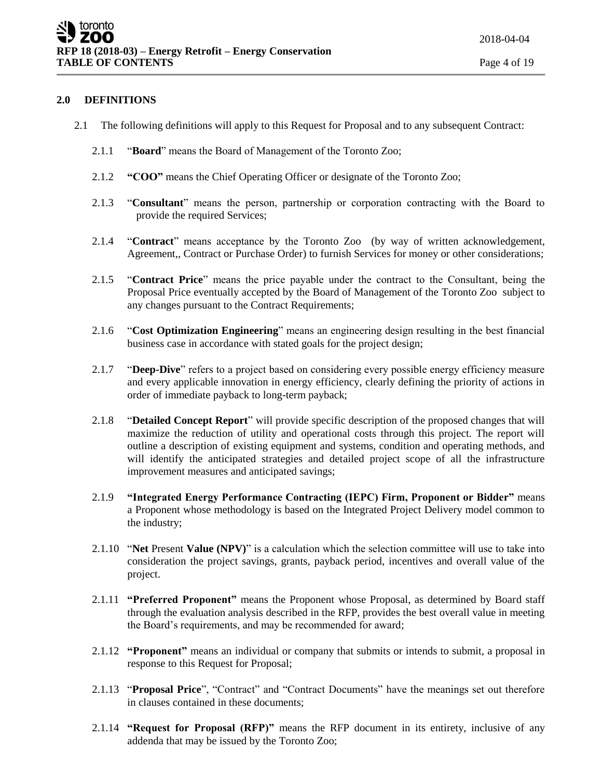#### **2.0 DEFINITIONS**

- 2.1 The following definitions will apply to this Request for Proposal and to any subsequent Contract:
	- 2.1.1 "**Board**" means the Board of Management of the Toronto Zoo;
	- 2.1.2 **"COO"** means the Chief Operating Officer or designate of the Toronto Zoo;
	- 2.1.3 "**Consultant**" means the person, partnership or corporation contracting with the Board to provide the required Services;
	- 2.1.4 "**Contract**" means acceptance by the Toronto Zoo (by way of written acknowledgement, Agreement,, Contract or Purchase Order) to furnish Services for money or other considerations;
	- 2.1.5 "**Contract Price**" means the price payable under the contract to the Consultant, being the Proposal Price eventually accepted by the Board of Management of the Toronto Zoo subject to any changes pursuant to the Contract Requirements;
	- 2.1.6 "**Cost Optimization Engineering**" means an engineering design resulting in the best financial business case in accordance with stated goals for the project design;
	- 2.1.7 "**Deep-Dive**" refers to a project based on considering every possible energy efficiency measure and every applicable innovation in energy efficiency, clearly defining the priority of actions in order of immediate payback to long-term payback;
	- 2.1.8 "**Detailed Concept Report**" will provide specific description of the proposed changes that will maximize the reduction of utility and operational costs through this project. The report will outline a description of existing equipment and systems, condition and operating methods, and will identify the anticipated strategies and detailed project scope of all the infrastructure improvement measures and anticipated savings;
	- 2.1.9 **"Integrated Energy Performance Contracting (IEPC) Firm, Proponent or Bidder"** means a Proponent whose methodology is based on the Integrated Project Delivery model common to the industry;
	- 2.1.10 "**Net** Present **Value (NPV)**" is a calculation which the selection committee will use to take into consideration the project savings, grants, payback period, incentives and overall value of the project.
	- 2.1.11 **"Preferred Proponent"** means the Proponent whose Proposal, as determined by Board staff through the evaluation analysis described in the RFP, provides the best overall value in meeting the Board's requirements, and may be recommended for award;
	- 2.1.12 **"Proponent"** means an individual or company that submits or intends to submit, a proposal in response to this Request for Proposal;
	- 2.1.13 "**Proposal Price**", "Contract" and "Contract Documents" have the meanings set out therefore in clauses contained in these documents;
	- 2.1.14 **"Request for Proposal (RFP)"** means the RFP document in its entirety, inclusive of any addenda that may be issued by the Toronto Zoo;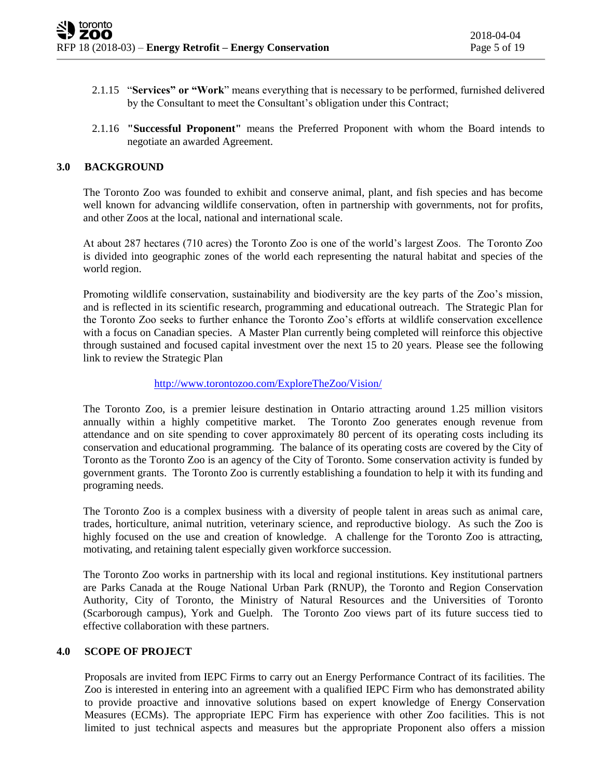- 2.1.15 "**Services" or "Work**" means everything that is necessary to be performed, furnished delivered by the Consultant to meet the Consultant's obligation under this Contract;
- 2.1.16 **"Successful Proponent"** means the Preferred Proponent with whom the Board intends to negotiate an awarded Agreement.

#### **3.0 BACKGROUND**

The Toronto Zoo was founded to exhibit and conserve animal, plant, and fish species and has become well known for advancing wildlife conservation, often in partnership with governments, not for profits, and other Zoos at the local, national and international scale.

At about 287 hectares (710 acres) the Toronto Zoo is one of the world's largest Zoos. The Toronto Zoo is divided into geographic zones of the world each representing the natural habitat and species of the world region.

Promoting wildlife conservation, sustainability and biodiversity are the key parts of the Zoo's mission, and is reflected in its scientific research, programming and educational outreach. The Strategic Plan for the Toronto Zoo seeks to further enhance the Toronto Zoo's efforts at wildlife conservation excellence with a focus on Canadian species. A Master Plan currently being completed will reinforce this objective through sustained and focused capital investment over the next 15 to 20 years. Please see the following link to review the Strategic Plan

#### <http://www.torontozoo.com/ExploreTheZoo/Vision/>

The Toronto Zoo, is a premier leisure destination in Ontario attracting around 1.25 million visitors annually within a highly competitive market. The Toronto Zoo generates enough revenue from attendance and on site spending to cover approximately 80 percent of its operating costs including its conservation and educational programming. The balance of its operating costs are covered by the City of Toronto as the Toronto Zoo is an agency of the City of Toronto. Some conservation activity is funded by government grants. The Toronto Zoo is currently establishing a foundation to help it with its funding and programing needs.

The Toronto Zoo is a complex business with a diversity of people talent in areas such as animal care, trades, horticulture, animal nutrition, veterinary science, and reproductive biology. As such the Zoo is highly focused on the use and creation of knowledge. A challenge for the Toronto Zoo is attracting, motivating, and retaining talent especially given workforce succession.

The Toronto Zoo works in partnership with its local and regional institutions. Key institutional partners are Parks Canada at the Rouge National Urban Park (RNUP), the Toronto and Region Conservation Authority, City of Toronto, the Ministry of Natural Resources and the Universities of Toronto (Scarborough campus), York and Guelph. The Toronto Zoo views part of its future success tied to effective collaboration with these partners.

## **4.0 SCOPE OF PROJECT**

Proposals are invited from IEPC Firms to carry out an Energy Performance Contract of its facilities. The Zoo is interested in entering into an agreement with a qualified IEPC Firm who has demonstrated ability to provide proactive and innovative solutions based on expert knowledge of Energy Conservation Measures (ECMs). The appropriate IEPC Firm has experience with other Zoo facilities. This is not limited to just technical aspects and measures but the appropriate Proponent also offers a mission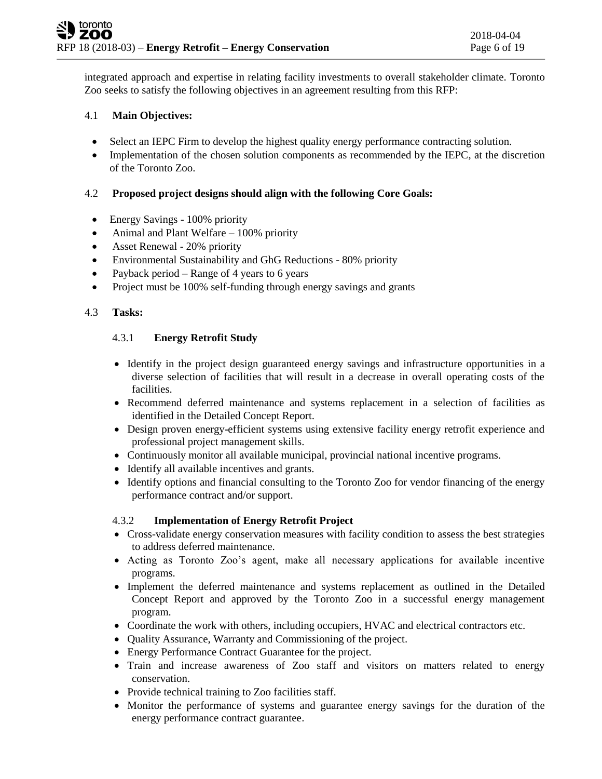integrated approach and expertise in relating facility investments to overall stakeholder climate. Toronto Zoo seeks to satisfy the following objectives in an agreement resulting from this RFP:

## 4.1 **Main Objectives:**

- Select an IEPC Firm to develop the highest quality energy performance contracting solution.
- Implementation of the chosen solution components as recommended by the IEPC, at the discretion of the Toronto Zoo.

## 4.2 **Proposed project designs should align with the following Core Goals:**

- Energy Savings 100% priority
- Animal and Plant Welfare 100% priority
- Asset Renewal 20% priority
- Environmental Sustainability and GhG Reductions 80% priority
- Payback period Range of 4 years to 6 years
- Project must be 100% self-funding through energy savings and grants

## 4.3 **Tasks:**

## 4.3.1 **Energy Retrofit Study**

- Identify in the project design guaranteed energy savings and infrastructure opportunities in a diverse selection of facilities that will result in a decrease in overall operating costs of the facilities.
- Recommend deferred maintenance and systems replacement in a selection of facilities as identified in the Detailed Concept Report.
- Design proven energy-efficient systems using extensive facility energy retrofit experience and professional project management skills.
- Continuously monitor all available municipal, provincial national incentive programs.
- Identify all available incentives and grants.
- Identify options and financial consulting to the Toronto Zoo for vendor financing of the energy performance contract and/or support.

## 4.3.2 **Implementation of Energy Retrofit Project**

- Cross-validate energy conservation measures with facility condition to assess the best strategies to address deferred maintenance.
- Acting as Toronto Zoo's agent, make all necessary applications for available incentive programs.
- Implement the deferred maintenance and systems replacement as outlined in the Detailed Concept Report and approved by the Toronto Zoo in a successful energy management program.
- Coordinate the work with others, including occupiers, HVAC and electrical contractors etc.
- Quality Assurance, Warranty and Commissioning of the project.
- Energy Performance Contract Guarantee for the project.
- Train and increase awareness of Zoo staff and visitors on matters related to energy conservation.
- Provide technical training to Zoo facilities staff.
- Monitor the performance of systems and guarantee energy savings for the duration of the energy performance contract guarantee.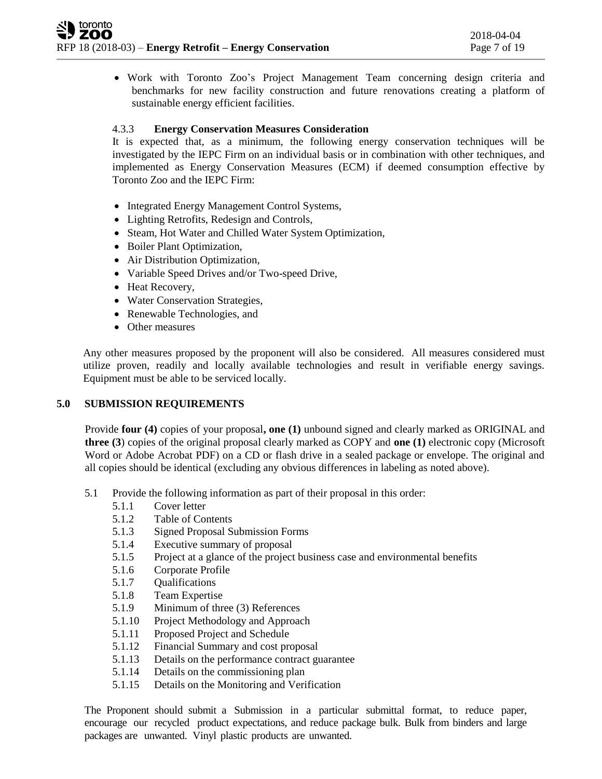Work with Toronto Zoo's Project Management Team concerning design criteria and benchmarks for new facility construction and future renovations creating a platform of sustainable energy efficient facilities.

## 4.3.3 **Energy Conservation Measures Consideration**

It is expected that, as a minimum, the following energy conservation techniques will be investigated by the IEPC Firm on an individual basis or in combination with other techniques, and implemented as Energy Conservation Measures (ECM) if deemed consumption effective by Toronto Zoo and the IEPC Firm:

- Integrated Energy Management Control Systems,
- Lighting Retrofits, Redesign and Controls,
- Steam, Hot Water and Chilled Water System Optimization,
- Boiler Plant Optimization,
- Air Distribution Optimization,
- Variable Speed Drives and/or Two-speed Drive,
- Heat Recovery,
- Water Conservation Strategies,
- Renewable Technologies, and
- Other measures

Any other measures proposed by the proponent will also be considered. All measures considered must utilize proven, readily and locally available technologies and result in verifiable energy savings. Equipment must be able to be serviced locally.

## **5.0 SUBMISSION REQUIREMENTS**

Provide **four (4)** copies of your proposal**, one (1)** unbound signed and clearly marked as ORIGINAL and **three (3**) copies of the original proposal clearly marked as COPY and **one (1)** electronic copy (Microsoft Word or Adobe Acrobat PDF) on a CD or flash drive in a sealed package or envelope. The original and all copies should be identical (excluding any obvious differences in labeling as noted above).

- 5.1 Provide the following information as part of their proposal in this order:
	- 5.1.1 Cover letter
	- 5.1.2 Table of Contents
	- 5.1.3 Signed Proposal Submission Forms
	- 5.1.4 Executive summary of proposal
	- 5.1.5 Project at a glance of the project business case and environmental benefits
	- 5.1.6 Corporate Profile
	- 5.1.7 Qualifications
	- 5.1.8 Team Expertise
	- 5.1.9 Minimum of three (3) References
	- 5.1.10 Project Methodology and Approach
	- 5.1.11 Proposed Project and Schedule
	- 5.1.12 Financial Summary and cost proposal
	- 5.1.13 Details on the performance contract guarantee
	- 5.1.14 Details on the commissioning plan
	- 5.1.15 Details on the Monitoring and Verification

The Proponent should submit a Submission in a particular submittal format, to reduce paper, encourage our recycled product expectations, and reduce package bulk. Bulk from binders and large packages are unwanted. Vinyl plastic products are unwanted.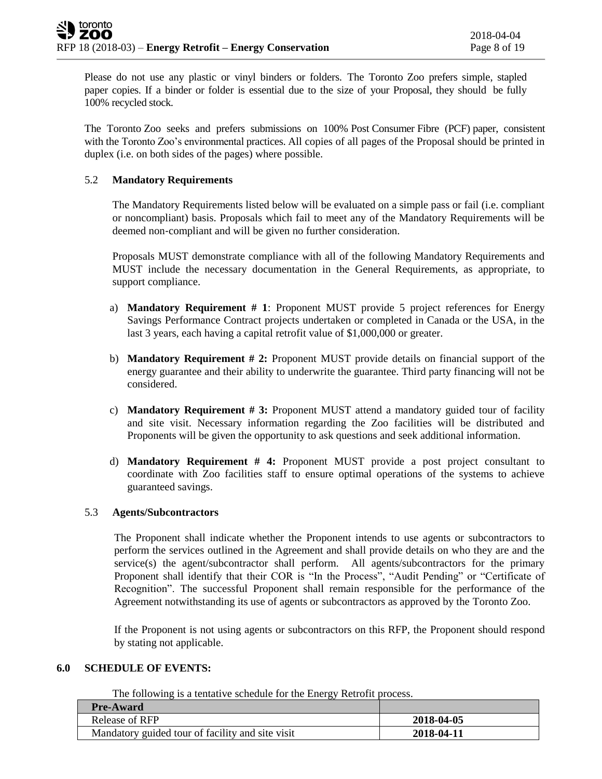Please do not use any plastic or vinyl binders or folders. The Toronto Zoo prefers simple, stapled paper copies. If a binder or folder is essential due to the size of your Proposal, they should be fully 100% recycled stock.

The Toronto Zoo seeks and prefers submissions on 100% Post Consumer Fibre (PCF) paper, consistent with the Toronto Zoo's environmental practices. All copies of all pages of the Proposal should be printed in duplex (i.e. on both sides of the pages) where possible.

## 5.2 **Mandatory Requirements**

The Mandatory Requirements listed below will be evaluated on a simple pass or fail (i.e. compliant or noncompliant) basis. Proposals which fail to meet any of the Mandatory Requirements will be deemed non‐compliant and will be given no further consideration.

Proposals MUST demonstrate compliance with all of the following Mandatory Requirements and MUST include the necessary documentation in the General Requirements, as appropriate, to support compliance.

- a) **Mandatory Requirement # 1**: Proponent MUST provide 5 project references for Energy Savings Performance Contract projects undertaken or completed in Canada or the USA, in the last 3 years, each having a capital retrofit value of \$1,000,000 or greater.
- b) **Mandatory Requirement # 2:** Proponent MUST provide details on financial support of the energy guarantee and their ability to underwrite the guarantee. Third party financing will not be considered.
- c) **Mandatory Requirement # 3:** Proponent MUST attend a mandatory guided tour of facility and site visit. Necessary information regarding the Zoo facilities will be distributed and Proponents will be given the opportunity to ask questions and seek additional information.
- d) **Mandatory Requirement # 4:** Proponent MUST provide a post project consultant to coordinate with Zoo facilities staff to ensure optimal operations of the systems to achieve guaranteed savings.

## 5.3 **Agents/Subcontractors**

The Proponent shall indicate whether the Proponent intends to use agents or subcontractors to perform the services outlined in the Agreement and shall provide details on who they are and the service(s) the agent/subcontractor shall perform. All agents/subcontractors for the primary Proponent shall identify that their COR is "In the Process", "Audit Pending" or "Certificate of Recognition". The successful Proponent shall remain responsible for the performance of the Agreement notwithstanding its use of agents or subcontractors as approved by the Toronto Zoo.

If the Proponent is not using agents or subcontractors on this RFP, the Proponent should respond by stating not applicable.

## **6.0 SCHEDULE OF EVENTS:**

The following is a tentative schedule for the Energy Retrofit process.

| <b>Pre-Award</b>                                 |            |
|--------------------------------------------------|------------|
| Release of RFP                                   | 2018-04-05 |
| Mandatory guided tour of facility and site visit | 2018-04-11 |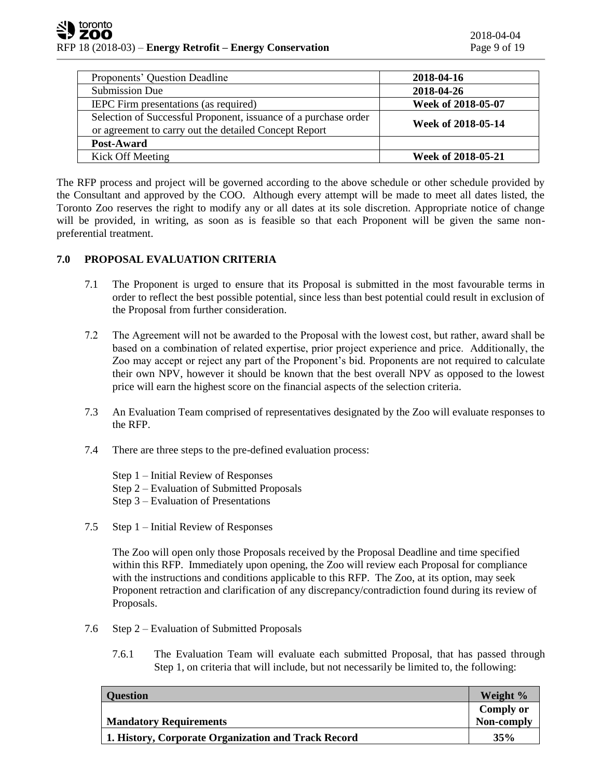| Proponents' Question Deadline                                                                                            | 2018-04-16         |
|--------------------------------------------------------------------------------------------------------------------------|--------------------|
| <b>Submission Due</b>                                                                                                    | 2018-04-26         |
| IEPC Firm presentations (as required)                                                                                    | Week of 2018-05-07 |
| Selection of Successful Proponent, issuance of a purchase order<br>or agreement to carry out the detailed Concept Report | Week of 2018-05-14 |
| Post-Award                                                                                                               |                    |
| Kick Off Meeting                                                                                                         | Week of 2018-05-21 |

The RFP process and project will be governed according to the above schedule or other schedule provided by the Consultant and approved by the COO. Although every attempt will be made to meet all dates listed, the Toronto Zoo reserves the right to modify any or all dates at its sole discretion. Appropriate notice of change will be provided, in writing, as soon as is feasible so that each Proponent will be given the same nonpreferential treatment.

## **7.0 PROPOSAL EVALUATION CRITERIA**

- 7.1 The Proponent is urged to ensure that its Proposal is submitted in the most favourable terms in order to reflect the best possible potential, since less than best potential could result in exclusion of the Proposal from further consideration.
- 7.2 The Agreement will not be awarded to the Proposal with the lowest cost, but rather, award shall be based on a combination of related expertise, prior project experience and price. Additionally, the Zoo may accept or reject any part of the Proponent's bid. Proponents are not required to calculate their own NPV, however it should be known that the best overall NPV as opposed to the lowest price will earn the highest score on the financial aspects of the selection criteria.
- 7.3 An Evaluation Team comprised of representatives designated by the Zoo will evaluate responses to the RFP.
- 7.4 There are three steps to the pre-defined evaluation process:
	- Step 1 Initial Review of Responses Step 2 – Evaluation of Submitted Proposals
	- Step 3 Evaluation of Presentations
- 7.5 Step 1 Initial Review of Responses

The Zoo will open only those Proposals received by the Proposal Deadline and time specified within this RFP. Immediately upon opening, the Zoo will review each Proposal for compliance with the instructions and conditions applicable to this RFP. The Zoo, at its option, may seek Proponent retraction and clarification of any discrepancy/contradiction found during its review of Proposals.

- 7.6 Step 2 Evaluation of Submitted Proposals
	- 7.6.1 The Evaluation Team will evaluate each submitted Proposal, that has passed through Step 1, on criteria that will include, but not necessarily be limited to, the following:

| <b>Question</b>                                     | Weight %         |
|-----------------------------------------------------|------------------|
|                                                     | <b>Comply or</b> |
| <b>Mandatory Requirements</b>                       | Non-comply       |
| 1. History, Corporate Organization and Track Record | 35%              |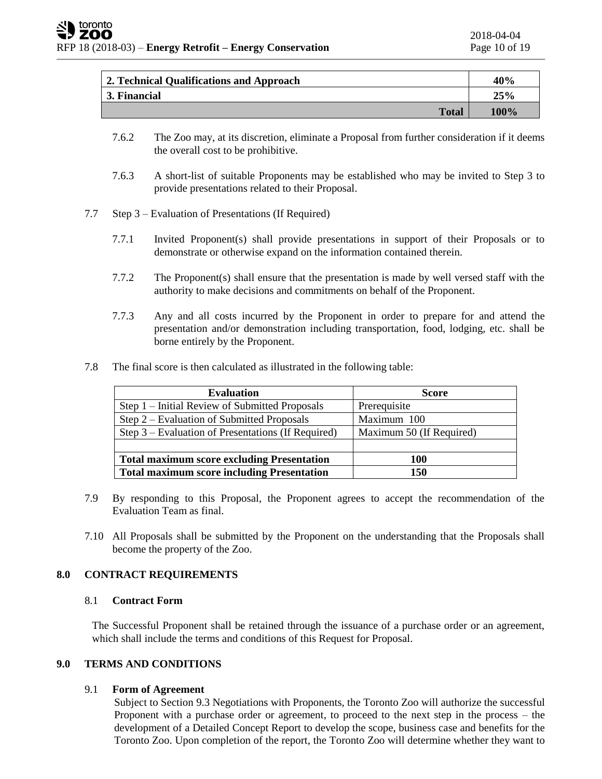| 2. Technical Qualifications and Approach | 40%  |
|------------------------------------------|------|
| 3. Financial                             | 25%  |
| <b>Total</b>                             | 100% |

- 7.6.2 The Zoo may, at its discretion, eliminate a Proposal from further consideration if it deems the overall cost to be prohibitive.
- 7.6.3 A short-list of suitable Proponents may be established who may be invited to Step 3 to provide presentations related to their Proposal.
- 7.7 Step 3 Evaluation of Presentations (If Required)
	- 7.7.1 Invited Proponent(s) shall provide presentations in support of their Proposals or to demonstrate or otherwise expand on the information contained therein.
	- 7.7.2 The Proponent(s) shall ensure that the presentation is made by well versed staff with the authority to make decisions and commitments on behalf of the Proponent.
	- 7.7.3 Any and all costs incurred by the Proponent in order to prepare for and attend the presentation and/or demonstration including transportation, food, lodging, etc. shall be borne entirely by the Proponent.
- 7.8 The final score is then calculated as illustrated in the following table:

| <b>Evaluation</b>                                  | <b>Score</b>             |
|----------------------------------------------------|--------------------------|
| Step 1 – Initial Review of Submitted Proposals     | Prerequisite             |
| Step $2$ – Evaluation of Submitted Proposals       | Maximum 100              |
| Step 3 – Evaluation of Presentations (If Required) | Maximum 50 (If Required) |
|                                                    |                          |
| <b>Total maximum score excluding Presentation</b>  | 100                      |
| <b>Total maximum score including Presentation</b>  | 150                      |

- 7.9 By responding to this Proposal, the Proponent agrees to accept the recommendation of the Evaluation Team as final.
- 7.10 All Proposals shall be submitted by the Proponent on the understanding that the Proposals shall become the property of the Zoo.

## **8.0 CONTRACT REQUIREMENTS**

## 8.1 **Contract Form**

The Successful Proponent shall be retained through the issuance of a purchase order or an agreement, which shall include the terms and conditions of this Request for Proposal.

## **9.0 TERMS AND CONDITIONS**

## 9.1 **Form of Agreement**

Subject to Section 9.3 Negotiations with Proponents, the Toronto Zoo will authorize the successful Proponent with a purchase order or agreement, to proceed to the next step in the process – the development of a Detailed Concept Report to develop the scope, business case and benefits for the Toronto Zoo. Upon completion of the report, the Toronto Zoo will determine whether they want to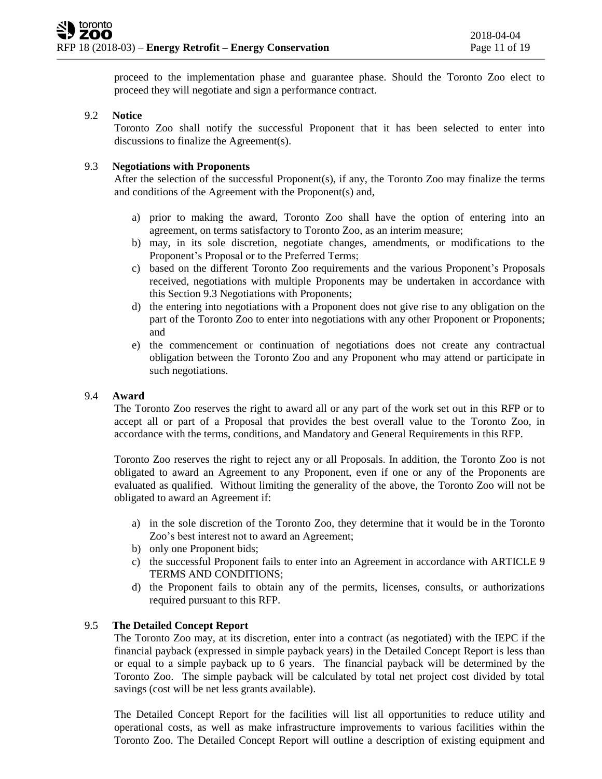proceed to the implementation phase and guarantee phase. Should the Toronto Zoo elect to proceed they will negotiate and sign a performance contract.

## 9.2 **Notice**

Toronto Zoo shall notify the successful Proponent that it has been selected to enter into discussions to finalize the Agreement(s).

#### 9.3 **Negotiations with Proponents**

After the selection of the successful Proponent(s), if any, the Toronto Zoo may finalize the terms and conditions of the Agreement with the Proponent(s) and,

- a) prior to making the award, Toronto Zoo shall have the option of entering into an agreement, on terms satisfactory to Toronto Zoo, as an interim measure;
- b) may, in its sole discretion, negotiate changes, amendments, or modifications to the Proponent's Proposal or to the Preferred Terms;
- c) based on the different Toronto Zoo requirements and the various Proponent's Proposals received, negotiations with multiple Proponents may be undertaken in accordance with this Section 9.3 Negotiations with Proponents;
- d) the entering into negotiations with a Proponent does not give rise to any obligation on the part of the Toronto Zoo to enter into negotiations with any other Proponent or Proponents; and
- e) the commencement or continuation of negotiations does not create any contractual obligation between the Toronto Zoo and any Proponent who may attend or participate in such negotiations.

#### 9.4 **Award**

The Toronto Zoo reserves the right to award all or any part of the work set out in this RFP or to accept all or part of a Proposal that provides the best overall value to the Toronto Zoo, in accordance with the terms, conditions, and Mandatory and General Requirements in this RFP.

Toronto Zoo reserves the right to reject any or all Proposals. In addition, the Toronto Zoo is not obligated to award an Agreement to any Proponent, even if one or any of the Proponents are evaluated as qualified. Without limiting the generality of the above, the Toronto Zoo will not be obligated to award an Agreement if:

- a) in the sole discretion of the Toronto Zoo, they determine that it would be in the Toronto Zoo's best interest not to award an Agreement;
- b) only one Proponent bids;
- c) the successful Proponent fails to enter into an Agreement in accordance with ARTICLE 9 TERMS AND CONDITIONS;
- d) the Proponent fails to obtain any of the permits, licenses, consults, or authorizations required pursuant to this RFP.

## 9.5 **The Detailed Concept Report**

The Toronto Zoo may, at its discretion, enter into a contract (as negotiated) with the IEPC if the financial payback (expressed in simple payback years) in the Detailed Concept Report is less than or equal to a simple payback up to 6 years. The financial payback will be determined by the Toronto Zoo. The simple payback will be calculated by total net project cost divided by total savings (cost will be net less grants available).

The Detailed Concept Report for the facilities will list all opportunities to reduce utility and operational costs, as well as make infrastructure improvements to various facilities within the Toronto Zoo. The Detailed Concept Report will outline a description of existing equipment and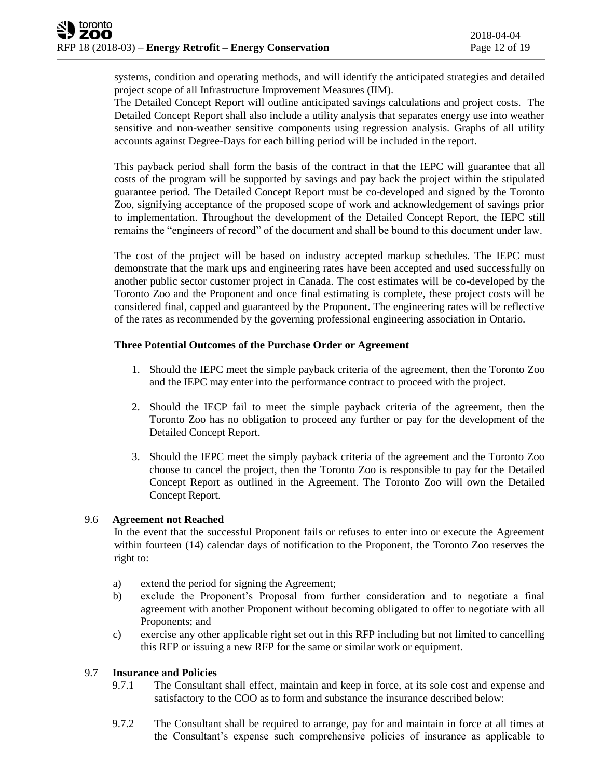systems, condition and operating methods, and will identify the anticipated strategies and detailed project scope of all Infrastructure Improvement Measures (IIM).

The Detailed Concept Report will outline anticipated savings calculations and project costs. The Detailed Concept Report shall also include a utility analysis that separates energy use into weather sensitive and non-weather sensitive components using regression analysis. Graphs of all utility accounts against Degree-Days for each billing period will be included in the report.

This payback period shall form the basis of the contract in that the IEPC will guarantee that all costs of the program will be supported by savings and pay back the project within the stipulated guarantee period. The Detailed Concept Report must be co-developed and signed by the Toronto Zoo, signifying acceptance of the proposed scope of work and acknowledgement of savings prior to implementation. Throughout the development of the Detailed Concept Report, the IEPC still remains the "engineers of record" of the document and shall be bound to this document under law.

The cost of the project will be based on industry accepted markup schedules. The IEPC must demonstrate that the mark ups and engineering rates have been accepted and used successfully on another public sector customer project in Canada. The cost estimates will be co-developed by the Toronto Zoo and the Proponent and once final estimating is complete, these project costs will be considered final, capped and guaranteed by the Proponent. The engineering rates will be reflective of the rates as recommended by the governing professional engineering association in Ontario.

## **Three Potential Outcomes of the Purchase Order or Agreement**

- 1. Should the IEPC meet the simple payback criteria of the agreement, then the Toronto Zoo and the IEPC may enter into the performance contract to proceed with the project.
- 2. Should the IECP fail to meet the simple payback criteria of the agreement, then the Toronto Zoo has no obligation to proceed any further or pay for the development of the Detailed Concept Report.
- 3. Should the IEPC meet the simply payback criteria of the agreement and the Toronto Zoo choose to cancel the project, then the Toronto Zoo is responsible to pay for the Detailed Concept Report as outlined in the Agreement. The Toronto Zoo will own the Detailed Concept Report.

## 9.6 **Agreement not Reached**

In the event that the successful Proponent fails or refuses to enter into or execute the Agreement within fourteen (14) calendar days of notification to the Proponent, the Toronto Zoo reserves the right to:

- a) extend the period for signing the Agreement;
- b) exclude the Proponent's Proposal from further consideration and to negotiate a final agreement with another Proponent without becoming obligated to offer to negotiate with all Proponents; and
- c) exercise any other applicable right set out in this RFP including but not limited to cancelling this RFP or issuing a new RFP for the same or similar work or equipment.

## 9.7 **Insurance and Policies**

- 9.7.1 The Consultant shall effect, maintain and keep in force, at its sole cost and expense and satisfactory to the COO as to form and substance the insurance described below:
- 9.7.2 The Consultant shall be required to arrange, pay for and maintain in force at all times at the Consultant's expense such comprehensive policies of insurance as applicable to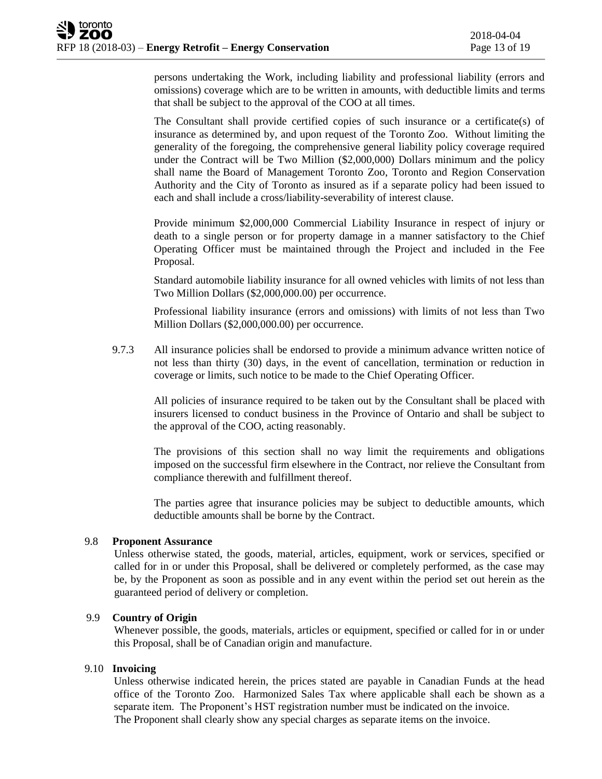persons undertaking the Work, including liability and professional liability (errors and omissions) coverage which are to be written in amounts, with deductible limits and terms that shall be subject to the approval of the COO at all times.

The Consultant shall provide certified copies of such insurance or a certificate(s) of insurance as determined by, and upon request of the Toronto Zoo. Without limiting the generality of the foregoing, the comprehensive general liability policy coverage required under the Contract will be Two Million (\$2,000,000) Dollars minimum and the policy shall name the Board of Management Toronto Zoo, Toronto and Region Conservation Authority and the City of Toronto as insured as if a separate policy had been issued to each and shall include a cross/liability-severability of interest clause.

Provide minimum \$2,000,000 Commercial Liability Insurance in respect of injury or death to a single person or for property damage in a manner satisfactory to the Chief Operating Officer must be maintained through the Project and included in the Fee Proposal.

Standard automobile liability insurance for all owned vehicles with limits of not less than Two Million Dollars (\$2,000,000.00) per occurrence.

Professional liability insurance (errors and omissions) with limits of not less than Two Million Dollars (\$2,000,000.00) per occurrence.

9.7.3 All insurance policies shall be endorsed to provide a minimum advance written notice of not less than thirty (30) days, in the event of cancellation, termination or reduction in coverage or limits, such notice to be made to the Chief Operating Officer.

All policies of insurance required to be taken out by the Consultant shall be placed with insurers licensed to conduct business in the Province of Ontario and shall be subject to the approval of the COO, acting reasonably.

The provisions of this section shall no way limit the requirements and obligations imposed on the successful firm elsewhere in the Contract, nor relieve the Consultant from compliance therewith and fulfillment thereof.

The parties agree that insurance policies may be subject to deductible amounts, which deductible amounts shall be borne by the Contract.

## 9.8 **Proponent Assurance**

Unless otherwise stated, the goods, material, articles, equipment, work or services, specified or called for in or under this Proposal, shall be delivered or completely performed, as the case may be, by the Proponent as soon as possible and in any event within the period set out herein as the guaranteed period of delivery or completion.

## 9.9 **Country of Origin**

Whenever possible, the goods, materials, articles or equipment, specified or called for in or under this Proposal, shall be of Canadian origin and manufacture.

#### 9.10 **Invoicing**

Unless otherwise indicated herein, the prices stated are payable in Canadian Funds at the head office of the Toronto Zoo. Harmonized Sales Tax where applicable shall each be shown as a separate item. The Proponent's HST registration number must be indicated on the invoice. The Proponent shall clearly show any special charges as separate items on the invoice.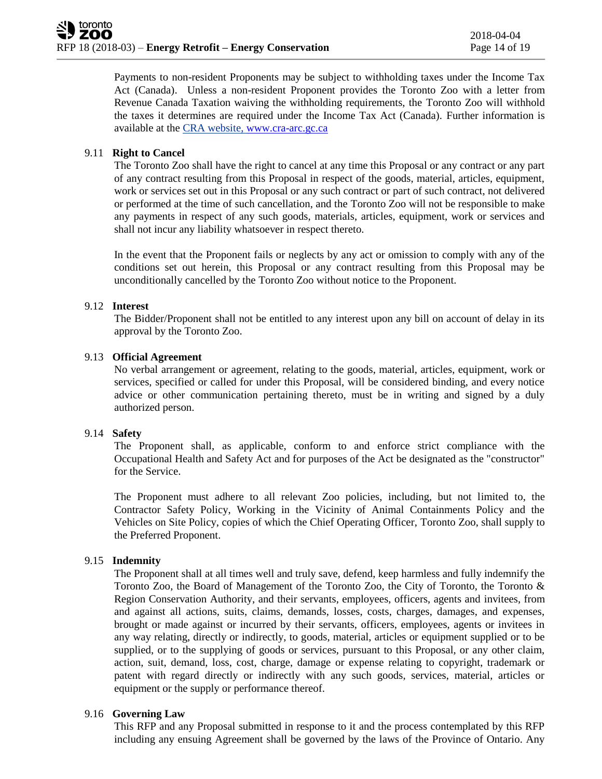Payments to non-resident Proponents may be subject to withholding taxes under the Income Tax Act (Canada). Unless a non-resident Proponent provides the Toronto Zoo with a letter from Revenue Canada Taxation waiving the withholding requirements, the Toronto Zoo will withhold the taxes it determines are required under the Income Tax Act (Canada). Further information is available at the CRA website, [www.cra-arc.gc.ca](http://www.cra-arc.gc.ca/)

## 9.11 **Right to Cancel**

The Toronto Zoo shall have the right to cancel at any time this Proposal or any contract or any part of any contract resulting from this Proposal in respect of the goods, material, articles, equipment, work or services set out in this Proposal or any such contract or part of such contract, not delivered or performed at the time of such cancellation, and the Toronto Zoo will not be responsible to make any payments in respect of any such goods, materials, articles, equipment, work or services and shall not incur any liability whatsoever in respect thereto.

In the event that the Proponent fails or neglects by any act or omission to comply with any of the conditions set out herein, this Proposal or any contract resulting from this Proposal may be unconditionally cancelled by the Toronto Zoo without notice to the Proponent.

## 9.12 **Interest**

The Bidder/Proponent shall not be entitled to any interest upon any bill on account of delay in its approval by the Toronto Zoo.

## 9.13 **Official Agreement**

No verbal arrangement or agreement, relating to the goods, material, articles, equipment, work or services, specified or called for under this Proposal, will be considered binding, and every notice advice or other communication pertaining thereto, must be in writing and signed by a duly authorized person.

## 9.14 **Safety**

The Proponent shall, as applicable, conform to and enforce strict compliance with the Occupational Health and Safety Act and for purposes of the Act be designated as the "constructor" for the Service.

The Proponent must adhere to all relevant Zoo policies, including, but not limited to, the Contractor Safety Policy, Working in the Vicinity of Animal Containments Policy and the Vehicles on Site Policy, copies of which the Chief Operating Officer, Toronto Zoo, shall supply to the Preferred Proponent.

## 9.15 **Indemnity**

The Proponent shall at all times well and truly save, defend, keep harmless and fully indemnify the Toronto Zoo, the Board of Management of the Toronto Zoo, the City of Toronto, the Toronto & Region Conservation Authority, and their servants, employees, officers, agents and invitees, from and against all actions, suits, claims, demands, losses, costs, charges, damages, and expenses, brought or made against or incurred by their servants, officers, employees, agents or invitees in any way relating, directly or indirectly, to goods, material, articles or equipment supplied or to be supplied, or to the supplying of goods or services, pursuant to this Proposal, or any other claim, action, suit, demand, loss, cost, charge, damage or expense relating to copyright, trademark or patent with regard directly or indirectly with any such goods, services, material, articles or equipment or the supply or performance thereof.

## 9.16 **Governing Law**

This RFP and any Proposal submitted in response to it and the process contemplated by this RFP including any ensuing Agreement shall be governed by the laws of the Province of Ontario. Any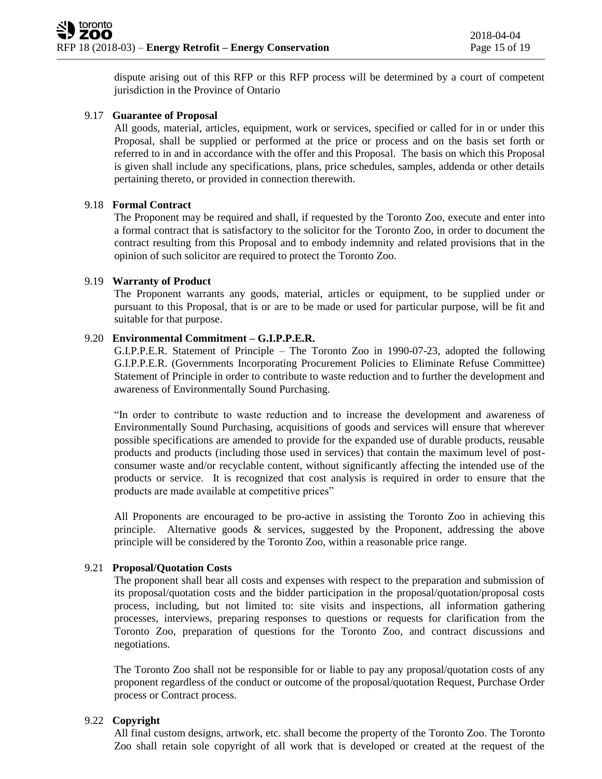dispute arising out of this RFP or this RFP process will be determined by a court of competent jurisdiction in the Province of Ontario

## 9.17 **Guarantee of Proposal**

All goods, material, articles, equipment, work or services, specified or called for in or under this Proposal, shall be supplied or performed at the price or process and on the basis set forth or referred to in and in accordance with the offer and this Proposal. The basis on which this Proposal is given shall include any specifications, plans, price schedules, samples, addenda or other details pertaining thereto, or provided in connection therewith.

#### 9.18 **Formal Contract**

The Proponent may be required and shall, if requested by the Toronto Zoo, execute and enter into a formal contract that is satisfactory to the solicitor for the Toronto Zoo, in order to document the contract resulting from this Proposal and to embody indemnity and related provisions that in the opinion of such solicitor are required to protect the Toronto Zoo.

## 9.19 **Warranty of Product**

The Proponent warrants any goods, material, articles or equipment, to be supplied under or pursuant to this Proposal, that is or are to be made or used for particular purpose, will be fit and suitable for that purpose.

#### 9.20 **Environmental Commitment – G.I.P.P.E.R.**

G.I.P.P.E.R. Statement of Principle – The Toronto Zoo in 1990-07-23, adopted the following G.I.P.P.E.R. (Governments Incorporating Procurement Policies to Eliminate Refuse Committee) Statement of Principle in order to contribute to waste reduction and to further the development and awareness of Environmentally Sound Purchasing.

"In order to contribute to waste reduction and to increase the development and awareness of Environmentally Sound Purchasing, acquisitions of goods and services will ensure that wherever possible specifications are amended to provide for the expanded use of durable products, reusable products and products (including those used in services) that contain the maximum level of postconsumer waste and/or recyclable content, without significantly affecting the intended use of the products or service. It is recognized that cost analysis is required in order to ensure that the products are made available at competitive prices"

All Proponents are encouraged to be pro-active in assisting the Toronto Zoo in achieving this principle. Alternative goods & services, suggested by the Proponent, addressing the above principle will be considered by the Toronto Zoo, within a reasonable price range.

## 9.21 **Proposal/Quotation Costs**

The proponent shall bear all costs and expenses with respect to the preparation and submission of its proposal/quotation costs and the bidder participation in the proposal/quotation/proposal costs process, including, but not limited to: site visits and inspections, all information gathering processes, interviews, preparing responses to questions or requests for clarification from the Toronto Zoo, preparation of questions for the Toronto Zoo, and contract discussions and negotiations.

The Toronto Zoo shall not be responsible for or liable to pay any proposal/quotation costs of any proponent regardless of the conduct or outcome of the proposal/quotation Request, Purchase Order process or Contract process.

## 9.22 **Copyright**

All final custom designs, artwork, etc. shall become the property of the Toronto Zoo. The Toronto Zoo shall retain sole copyright of all work that is developed or created at the request of the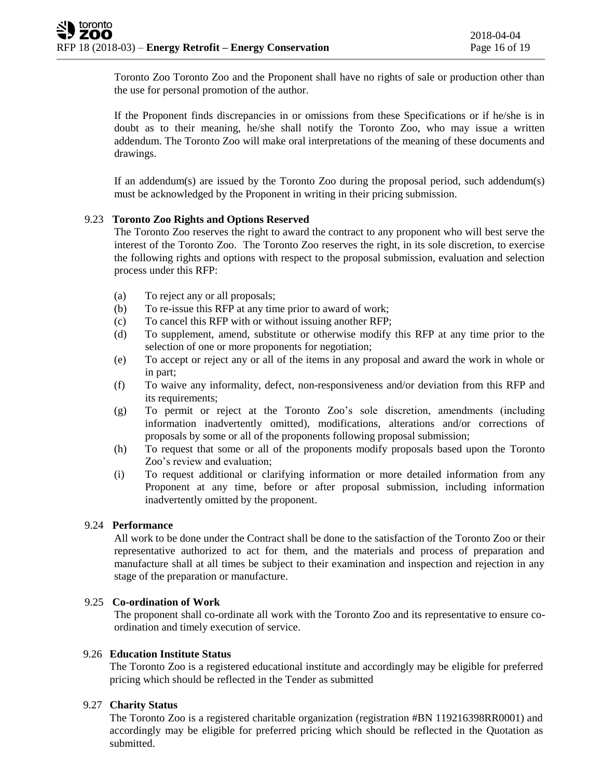Toronto Zoo Toronto Zoo and the Proponent shall have no rights of sale or production other than the use for personal promotion of the author.

If the Proponent finds discrepancies in or omissions from these Specifications or if he/she is in doubt as to their meaning, he/she shall notify the Toronto Zoo, who may issue a written addendum. The Toronto Zoo will make oral interpretations of the meaning of these documents and drawings.

If an addendum(s) are issued by the Toronto Zoo during the proposal period, such addendum(s) must be acknowledged by the Proponent in writing in their pricing submission.

## 9.23 **Toronto Zoo Rights and Options Reserved**

The Toronto Zoo reserves the right to award the contract to any proponent who will best serve the interest of the Toronto Zoo. The Toronto Zoo reserves the right, in its sole discretion, to exercise the following rights and options with respect to the proposal submission, evaluation and selection process under this RFP:

- (a) To reject any or all proposals;
- (b) To re-issue this RFP at any time prior to award of work;
- (c) To cancel this RFP with or without issuing another RFP;
- (d) To supplement, amend, substitute or otherwise modify this RFP at any time prior to the selection of one or more proponents for negotiation;
- (e) To accept or reject any or all of the items in any proposal and award the work in whole or in part;
- (f) To waive any informality, defect, non-responsiveness and/or deviation from this RFP and its requirements;
- (g) To permit or reject at the Toronto Zoo's sole discretion, amendments (including information inadvertently omitted), modifications, alterations and/or corrections of proposals by some or all of the proponents following proposal submission;
- (h) To request that some or all of the proponents modify proposals based upon the Toronto Zoo's review and evaluation;
- (i) To request additional or clarifying information or more detailed information from any Proponent at any time, before or after proposal submission, including information inadvertently omitted by the proponent.

## 9.24 **Performance**

All work to be done under the Contract shall be done to the satisfaction of the Toronto Zoo or their representative authorized to act for them, and the materials and process of preparation and manufacture shall at all times be subject to their examination and inspection and rejection in any stage of the preparation or manufacture.

#### 9.25 **Co-ordination of Work**

The proponent shall co-ordinate all work with the Toronto Zoo and its representative to ensure coordination and timely execution of service.

#### 9.26 **Education Institute Status**

The Toronto Zoo is a registered educational institute and accordingly may be eligible for preferred pricing which should be reflected in the Tender as submitted

## 9.27 **Charity Status**

The Toronto Zoo is a registered charitable organization (registration #BN 119216398RR0001) and accordingly may be eligible for preferred pricing which should be reflected in the Quotation as submitted.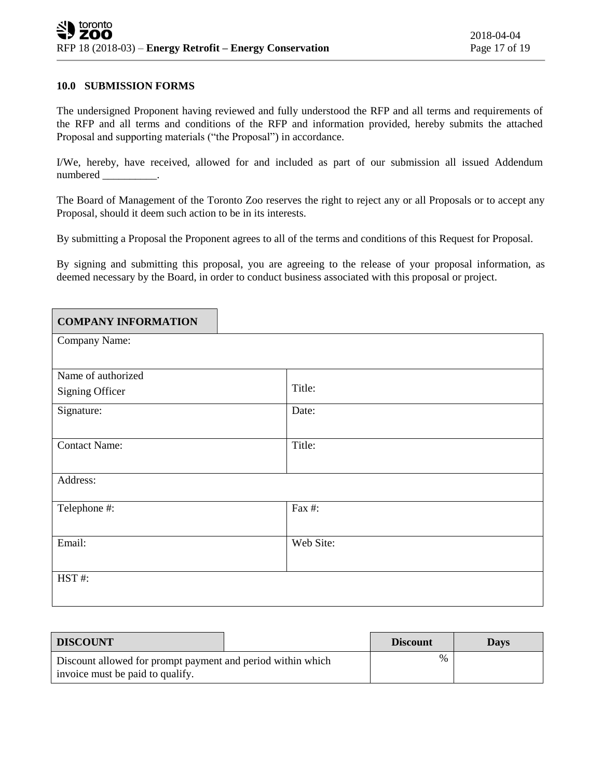#### **10.0 SUBMISSION FORMS**

The undersigned Proponent having reviewed and fully understood the RFP and all terms and requirements of the RFP and all terms and conditions of the RFP and information provided, hereby submits the attached Proposal and supporting materials ("the Proposal") in accordance.

I/We, hereby, have received, allowed for and included as part of our submission all issued Addendum numbered \_\_\_\_\_\_\_\_\_\_.

The Board of Management of the Toronto Zoo reserves the right to reject any or all Proposals or to accept any Proposal, should it deem such action to be in its interests.

By submitting a Proposal the Proponent agrees to all of the terms and conditions of this Request for Proposal.

By signing and submitting this proposal, you are agreeing to the release of your proposal information, as deemed necessary by the Board, in order to conduct business associated with this proposal or project.

| <b>COMPANY INFORMATION</b> |           |
|----------------------------|-----------|
| Company Name:              |           |
|                            |           |
| Name of authorized         |           |
| Signing Officer            | Title:    |
| Signature:                 | Date:     |
|                            |           |
| <b>Contact Name:</b>       | Title:    |
|                            |           |
| Address:                   |           |
| Telephone #:               | Fax #:    |
|                            |           |
| Email:                     | Web Site: |
|                            |           |
| HST#:                      |           |
|                            |           |

| <b>DISCOUNT</b>                                                                                 |  | <b>Discount</b> | Davs |
|-------------------------------------------------------------------------------------------------|--|-----------------|------|
| Discount allowed for prompt payment and period within which<br>invoice must be paid to qualify. |  | $\%$            |      |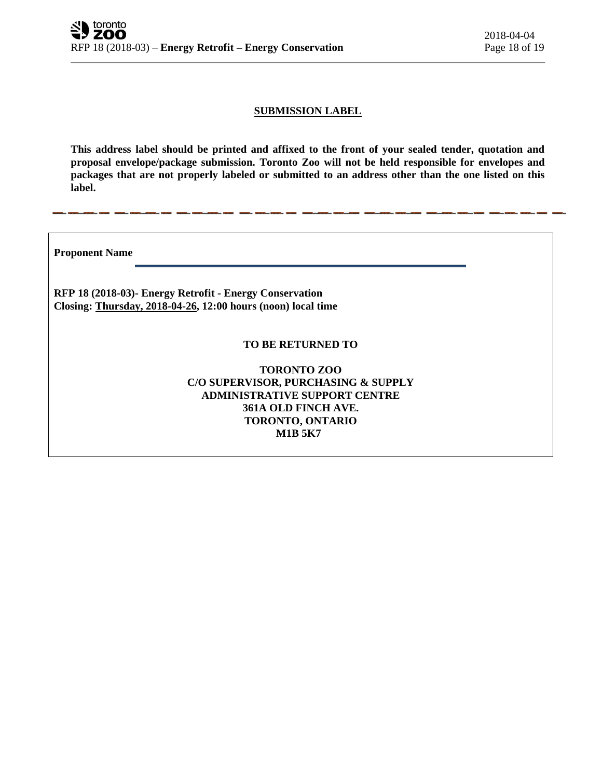## **SUBMISSION LABEL**

**This address label should be printed and affixed to the front of your sealed tender, quotation and proposal envelope/package submission. Toronto Zoo will not be held responsible for envelopes and packages that are not properly labeled or submitted to an address other than the one listed on this label.**

**Proponent Name** 

**RFP 18 (2018-03)- Energy Retrofit - Energy Conservation Closing: Thursday, 2018-04-26, 12:00 hours (noon) local time**

#### **TO BE RETURNED TO**

**TORONTO ZOO C/O SUPERVISOR, PURCHASING & SUPPLY ADMINISTRATIVE SUPPORT CENTRE 361A OLD FINCH AVE. TORONTO, ONTARIO M1B 5K7**